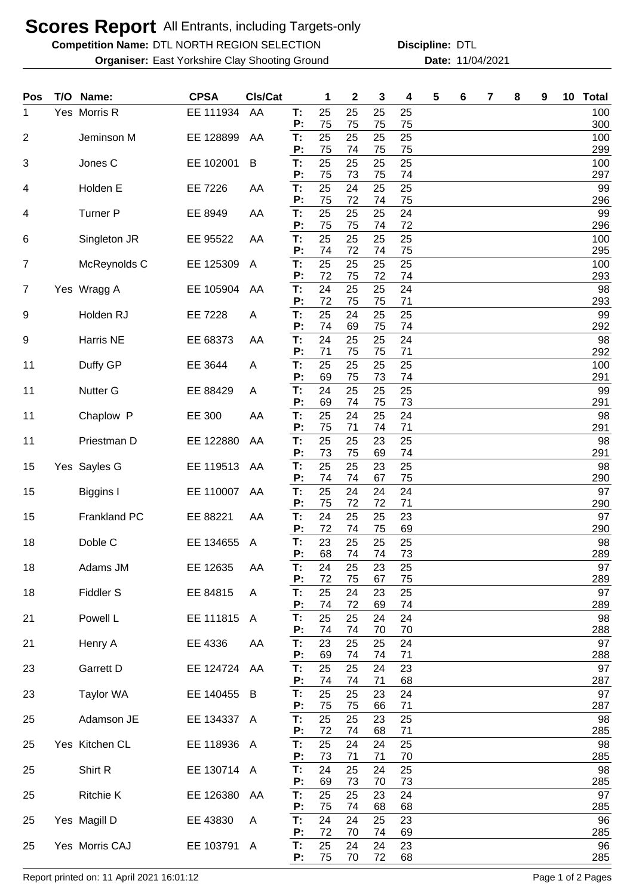## **Scores Report** All Entrants, including Targets-only

**Competition Name: DTL NORTH REGION SELECTION Discipline: DTL** 

**Organiser:** East Yorkshire Clay Shooting Ground **11/04/2021** Date: 11/04/2021 **Discipline:**

| <b>Pos</b>     | T/O | Name:            | <b>CPSA</b> | CIs/Cat      |          | 1        | $\mathbf{2}$ | 3        | 4        | 5 | 6 | 7 | 8 | 9 | 10 | <b>Total</b> |
|----------------|-----|------------------|-------------|--------------|----------|----------|--------------|----------|----------|---|---|---|---|---|----|--------------|
| 1.             |     | Yes Morris R     | EE 111934   | AA           | T:<br>P: | 25<br>75 | 25<br>75     | 25<br>75 | 25<br>75 |   |   |   |   |   |    | 100<br>300   |
| $\overline{2}$ |     | Jeminson M       | EE 128899   | AA           | T:       | 25       | 25           | 25       | 25       |   |   |   |   |   |    | 100          |
| 3              |     | Jones C          | EE 102001   | B            | P:<br>T: | 75<br>25 | 74<br>25     | 75<br>25 | 75<br>25 |   |   |   |   |   |    | 299<br>100   |
|                |     | Holden E         |             |              | P:<br>T: | 75<br>25 | 73<br>24     | 75<br>25 | 74<br>25 |   |   |   |   |   |    | 297<br>99    |
| 4              |     |                  | EE 7226     | AA           | P:       | 75       | 72           | 74       | 75       |   |   |   |   |   |    | 296          |
| 4              |     | <b>Turner P</b>  | EE 8949     | AA           | T:<br>P: | 25<br>75 | 25<br>75     | 25<br>74 | 24<br>72 |   |   |   |   |   |    | 99<br>296    |
| 6              |     | Singleton JR     | EE 95522    | AA           | T:<br>P: | 25<br>74 | 25<br>72     | 25<br>74 | 25<br>75 |   |   |   |   |   |    | 100<br>295   |
| $\overline{7}$ |     | McReynolds C     | EE 125309   | A            | T:       | 25       | 25           | 25       | 25       |   |   |   |   |   |    | 100          |
| 7              |     | Yes Wragg A      | EE 105904   | AA           | P:<br>T: | 72<br>24 | 75<br>25     | 72<br>25 | 74<br>24 |   |   |   |   |   |    | 293<br>98    |
| 9              |     | Holden RJ        | EE 7228     | A            | P:<br>T: | 72<br>25 | 75<br>24     | 75<br>25 | 71<br>25 |   |   |   |   |   |    | 293<br>99    |
| 9              |     | Harris NE        | EE 68373    | AA           | P:<br>T: | 74<br>24 | 69<br>25     | 75<br>25 | 74<br>24 |   |   |   |   |   |    | 292<br>98    |
| 11             |     | Duffy GP         | EE 3644     | Α            | P:<br>T: | 71<br>25 | 75<br>25     | 75<br>25 | 71<br>25 |   |   |   |   |   |    | 292<br>100   |
|                |     |                  |             |              | P:       | 69       | 75           | 73       | 74       |   |   |   |   |   |    | 291          |
| 11             |     | <b>Nutter G</b>  | EE 88429    | A            | T:<br>P: | 24<br>69 | 25<br>74     | 25<br>75 | 25<br>73 |   |   |   |   |   |    | 99<br>291    |
| 11             |     | Chaplow P        | EE 300      | AA           | T:<br>P: | 25<br>75 | 24<br>71     | 25<br>74 | 24<br>71 |   |   |   |   |   |    | 98<br>291    |
| 11             |     | Priestman D      | EE 122880   | AA           | T:<br>P: | 25<br>73 | 25<br>75     | 23<br>69 | 25<br>74 |   |   |   |   |   |    | 98<br>291    |
| 15             |     | Yes Sayles G     | EE 119513   | AA           | T:<br>P: | 25       | 25           | 23       | 25       |   |   |   |   |   |    | 98           |
| 15             |     | <b>Biggins I</b> | EE 110007   | AA           | T:       | 74<br>25 | 74<br>24     | 67<br>24 | 75<br>24 |   |   |   |   |   |    | 290<br>97    |
| 15             |     | Frankland PC     | EE 88221    | AA           | P:<br>T: | 75<br>24 | 72<br>25     | 72<br>25 | 71<br>23 |   |   |   |   |   |    | 290<br>97    |
| 18             |     | Doble C          | EE 134655   | A            | P:<br>T: | 72<br>23 | 74<br>25     | 75<br>25 | 69<br>25 |   |   |   |   |   |    | 290<br>98    |
| 18             |     | Adams JM         | EE 12635    | AA           | P:<br>Т: | 68<br>24 | 74<br>25     | 74<br>23 | 73<br>25 |   |   |   |   |   |    | 289<br>97    |
| 18             |     | Fiddler S        | EE 84815    | A            | P:<br>T: | 72<br>25 | 75<br>24     | 67<br>23 | 75<br>25 |   |   |   |   |   |    | 289<br>97    |
|                |     |                  |             |              | P:       | 74       | 72           | 69       | 74       |   |   |   |   |   |    | 289          |
| 21             |     | Powell L         | EE 111815   | $\mathsf{A}$ | Τ.<br>P: | 25<br>74 | 25<br>74     | 24<br>70 | 24<br>70 |   |   |   |   |   |    | 98<br>288    |
| 21             |     | Henry A          | EE 4336     | AA           | T:<br>P: | 23<br>69 | 25<br>74     | 25<br>74 | 24<br>71 |   |   |   |   |   |    | 97<br>288    |
| 23             |     | Garrett D        | EE 124724   | AA           | T:<br>P: | 25<br>74 | 25           | 24<br>71 | 23<br>68 |   |   |   |   |   |    | 97<br>287    |
| 23             |     | <b>Taylor WA</b> | EE 140455   | B            | Т.       | 25       | 74<br>25     | 23       | 24       |   |   |   |   |   |    | 97           |
| 25             |     | Adamson JE       | EE 134337 A |              | P:<br>T: | 75<br>25 | 75<br>25     | 66<br>23 | 71<br>25 |   |   |   |   |   |    | 287<br>98    |
| 25             |     | Yes Kitchen CL   | EE 118936 A |              | P:<br>T: | 72<br>25 | 74<br>24     | 68<br>24 | 71<br>25 |   |   |   |   |   |    | 285<br>98    |
| 25             |     | Shirt R          | EE 130714 A |              | P:<br>T: | 73<br>24 | 71<br>25     | 71<br>24 | 70<br>25 |   |   |   |   |   |    | 285<br>98    |
|                |     |                  |             |              | P:       | 69       | 73           | 70       | 73       |   |   |   |   |   |    | 285          |
| 25             |     | <b>Ritchie K</b> | EE 126380   | AA           | T:<br>P: | 25<br>75 | 25<br>74     | 23<br>68 | 24<br>68 |   |   |   |   |   |    | 97<br>285    |
| 25             |     | Yes Magill D     | EE 43830    | A            | T:<br>P: | 24<br>72 | 24<br>70     | 25<br>74 | 23<br>69 |   |   |   |   |   |    | 96<br>285    |
| 25             |     | Yes Morris CAJ   | EE 103791 A |              | T:       | 25       | 24           | 24       | 23       |   |   |   |   |   |    | 96           |
|                |     |                  |             |              | P:       | 75       | 70           | 72       | 68       |   |   |   |   |   |    | 285          |

Report printed on: 11 April 2021 16:01:12 **Pages** 1 of 2 Pages